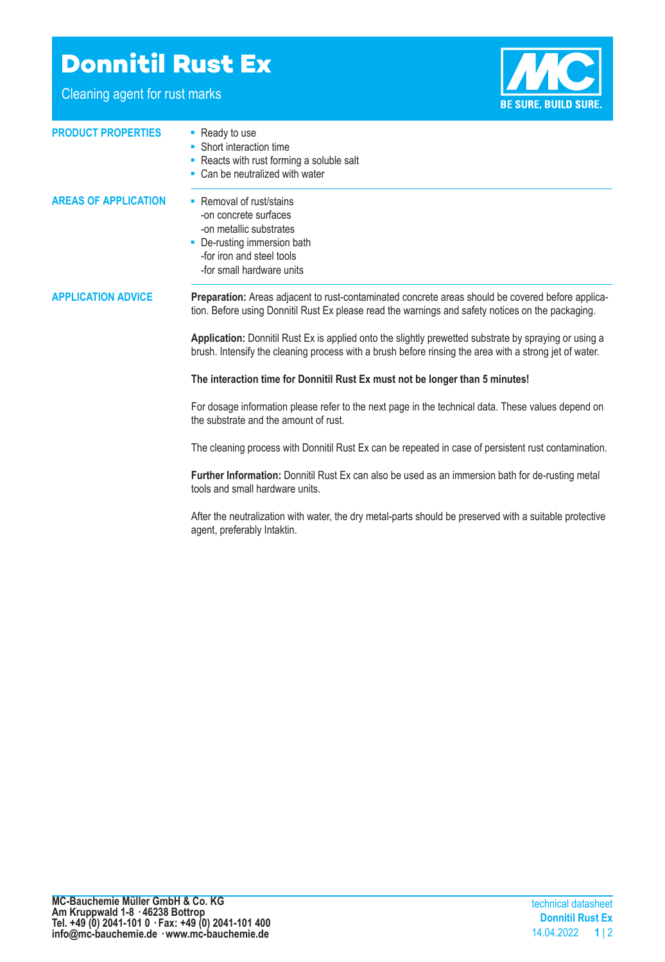## **Donnitil Rust Ex**

Cleaning agent for rust marks



| <b>PRODUCT PROPERTIES</b>   | • Ready to use<br>• Short interaction time<br>• Reacts with rust forming a soluble salt<br>• Can be neutralized with water                                                                                                                                                                                                                                                                                                |
|-----------------------------|---------------------------------------------------------------------------------------------------------------------------------------------------------------------------------------------------------------------------------------------------------------------------------------------------------------------------------------------------------------------------------------------------------------------------|
| <b>AREAS OF APPLICATION</b> | • Removal of rust/stains<br>-on concrete surfaces<br>-on metallic substrates<br>De-rusting immersion bath<br>-for iron and steel tools<br>-for small hardware units                                                                                                                                                                                                                                                       |
| <b>APPLICATION ADVICE</b>   | Preparation: Areas adjacent to rust-contaminated concrete areas should be covered before applica-<br>tion. Before using Donnitil Rust Ex please read the warnings and safety notices on the packaging.<br>Application: Donnitil Rust Ex is applied onto the slightly prewetted substrate by spraying or using a<br>brush. Intensify the cleaning process with a brush before rinsing the area with a strong jet of water. |
|                             | The interaction time for Donnitil Rust Ex must not be longer than 5 minutes!                                                                                                                                                                                                                                                                                                                                              |
|                             | For dosage information please refer to the next page in the technical data. These values depend on<br>the substrate and the amount of rust.                                                                                                                                                                                                                                                                               |
|                             | The cleaning process with Donnitil Rust Ex can be repeated in case of persistent rust contamination.                                                                                                                                                                                                                                                                                                                      |
|                             | Further Information: Donnitil Rust Ex can also be used as an immersion bath for de-rusting metal<br>tools and small hardware units.                                                                                                                                                                                                                                                                                       |
|                             | After the neutralization with water, the dry metal-parts should be preserved with a suitable protective<br>agent, preferably Intaktin.                                                                                                                                                                                                                                                                                    |